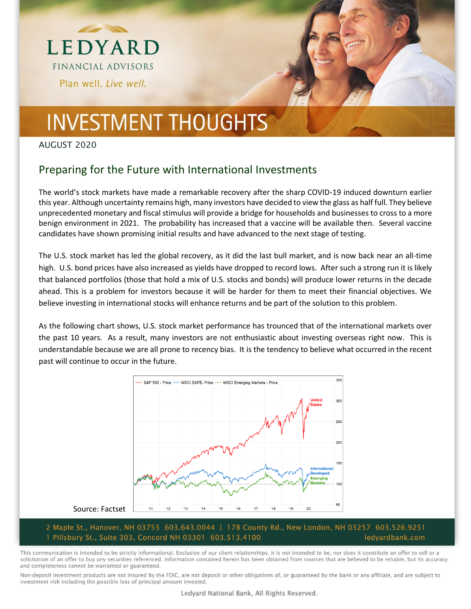



### AUGUST 2020

### Preparing for the Future with International Investments

The world's stock markets have made a remarkable recovery after the sharp COVID-19 induced downturn earlier this year. Although uncertainty remains high, many investors have decided to view the glass as half full. They believe unprecedented monetary and fiscal stimulus will provide a bridge for households and businesses to cross to a more benign environment in 2021. The probability has increased that a vaccine will be available then. Several vaccine candidates have shown promising initial results and have advanced to the next stage of testing.

The U.S. stock market has led the global recovery, as it did the last bull market, and is now back near an all-time high. U.S. bond prices have also increased as yields have dropped to record lows. After such a strong run it is likely that balanced portfolios (those that hold a mix of U.S. stocks and bonds) will produce lower returns in the decade ahead. This is a problem for investors because it will be harder for them to meet their financial objectives. We believe investing in international stocks will enhance returns and be part of the solution to this problem.

As the following chart shows, U.S. stock market performance has trounced that of the international markets over the past 10 years. As a result, many investors are not enthusiastic about investing overseas right now. This is understandable because we are all prone to recency bias. It is the tendency to believe what occurred in the recent past will continue to occur in the future.



#### 2 Maple St., Hanover, NH 03755 603.643.0044 | 178 County Rd., New London, NH 03257 603.526.9251 1 Pillsbury St., Suite 303, Concord NH 03301 603.513.4100 ledyardbank.com

This communication is intended to be strictly informational. Exclusive of our client relationships, it is not intended to be, nor does it constitute an offer to sell or a solicitation of an offer to buy any securities referenced. Information contained herein has been obtained from sources that are believed to be reliable, but its accuracy and completeness cannot be warranted or guaranteed.

Non-deposit investment products are not insured by the FDIC, are not deposit or other obligations of, or quaranteed by the bank or any affiliate, and are subject to investment risk including the possible loss of principal amount invested.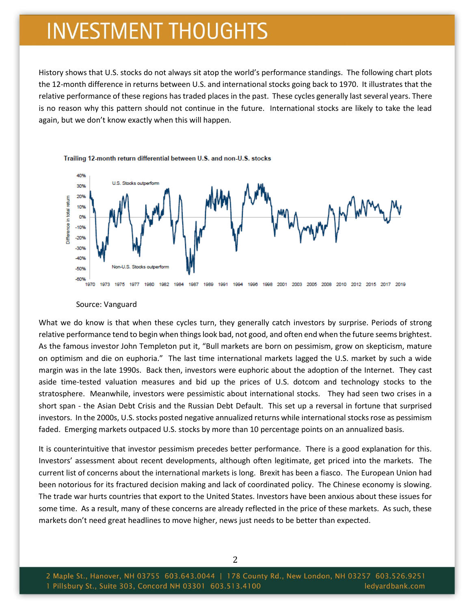History shows that U.S. stocks do not always sit atop the world's performance standings. The following chart plots the 12-month difference in returns between U.S. and international stocks going back to 1970. It illustrates that the relative performance of these regions has traded places in the past. These cycles generally last several years. There is no reason why this pattern should not continue in the future. International stocks are likely to take the lead again, but we don't know exactly when this will happen.





#### Source: Vanguard

What we do know is that when these cycles turn, they generally catch investors by surprise. Periods of strong relative performance tend to begin when things look bad, not good, and often end when the future seems brightest. As the famous investor John Templeton put it, "Bull markets are born on pessimism, grow on skepticism, mature on optimism and die on euphoria." The last time international markets lagged the U.S. market by such a wide margin was in the late 1990s. Back then, investors were euphoric about the adoption of the Internet. They cast aside time-tested valuation measures and bid up the prices of U.S. dotcom and technology stocks to the stratosphere. Meanwhile, investors were pessimistic about international stocks. They had seen two crises in a short span - the Asian Debt Crisis and the Russian Debt Default. This set up a reversal in fortune that surprised investors. In the 2000s, U.S. stocks posted negative annualized returns while international stocks rose as pessimism faded. Emerging markets outpaced U.S. stocks by more than 10 percentage points on an annualized basis.

It is counterintuitive that investor pessimism precedes better performance. There is a good explanation for this. Investors' assessment about recent developments, although often legitimate, get priced into the markets. The current list of concerns about the international markets is long. Brexit has been a fiasco. The European Union had been notorious for its fractured decision making and lack of coordinated policy. The Chinese economy is slowing. The trade war hurts countries that export to the United States. Investors have been anxious about these issues for some time. As a result, many of these concerns are already reflected in the price of these markets. As such, these markets don't need great headlines to move higher, news just needs to be better than expected.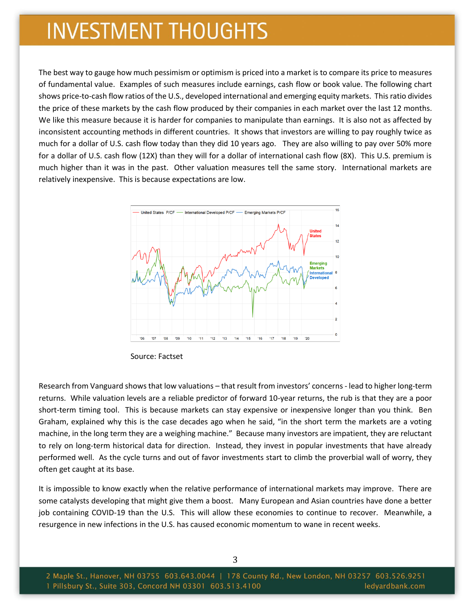The best way to gauge how much pessimism or optimism is priced into a market is to compare its price to measures of fundamental value. Examples of such measures include earnings, cash flow or book value. The following chart shows price-to-cash flow ratios of the U.S., developed international and emerging equity markets. This ratio divides the price of these markets by the cash flow produced by their companies in each market over the last 12 months. We like this measure because it is harder for companies to manipulate than earnings. It is also not as affected by inconsistent accounting methods in different countries. It shows that investors are willing to pay roughly twice as much for a dollar of U.S. cash flow today than they did 10 years ago. They are also willing to pay over 50% more for a dollar of U.S. cash flow (12X) than they will for a dollar of international cash flow (8X). This U.S. premium is much higher than it was in the past. Other valuation measures tell the same story. International markets are relatively inexpensive. This is because expectations are low.



Source: Factset

Research from Vanguard shows that low valuations – that result from investors' concerns - lead to higher long-term returns. While valuation levels are a reliable predictor of forward 10-year returns, the rub is that they are a poor short-term timing tool. This is because markets can stay expensive or inexpensive longer than you think. Ben Graham, explained why this is the case decades ago when he said, "in the short term the markets are a voting machine, in the long term they are a weighing machine." Because many investors are impatient, they are reluctant to rely on long-term historical data for direction. Instead, they invest in popular investments that have already performed well. As the cycle turns and out of favor investments start to climb the proverbial wall of worry, they often get caught at its base.

It is impossible to know exactly when the relative performance of international markets may improve. There are some catalysts developing that might give them a boost. Many European and Asian countries have done a better job containing COVID-19 than the U.S. This will allow these economies to continue to recover. Meanwhile, a resurgence in new infections in the U.S. has caused economic momentum to wane in recent weeks.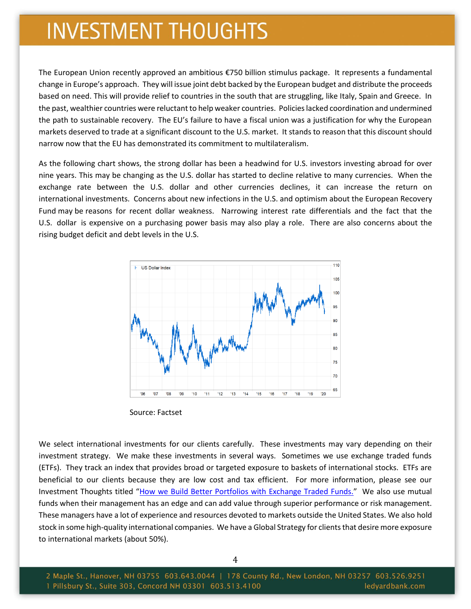The European Union recently approved an ambitious €750 billion stimulus package. It represents a fundamental change in Europe's approach. They will issue joint debt backed by the European budget and distribute the proceeds based on need. This will provide relief to countries in the south that are struggling, like Italy, Spain and Greece. In the past, wealthier countries were reluctant to help weaker countries. Policies lacked coordination and undermined the path to sustainable recovery. The EU's failure to have a fiscal union was a justification for why the European markets deserved to trade at a significant discount to the U.S. market. It stands to reason that this discount should narrow now that the EU has demonstrated its commitment to multilateralism.

As the following chart shows, the strong dollar has been a headwind for U.S. investors investing abroad for over nine years. This may be changing as the U.S. dollar has started to decline relative to many currencies. When the exchange rate between the U.S. dollar and other currencies declines, it can increase the return on international investments. Concerns about new infections in the U.S. and optimism about the European Recovery Fund may be reasons for recent dollar weakness. Narrowing interest rate differentials and the fact that the U.S. dollar is expensive on a purchasing power basis may also play a role. There are also concerns about the rising budget deficit and debt levels in the U.S.



Source: Factset

We select international investments for our clients carefully. These investments may vary depending on their investment strategy. We make these investments in several ways. Sometimes we use exchange traded funds (ETFs). They track an index that provides broad or targeted exposure to baskets of international stocks. ETFs are beneficial to our clients because they are low cost and tax efficient. For more information, please see our Investment Thoughts titled "[How we Build Better Portfolios with Exchange Traded Funds.](https://www.ledyardbank.com/Assets/PDF/Investment-Thoughts-October-2019.aspx)" We also use mutual funds when their management has an edge and can add value through superior performance or risk management. These managers have a lot of experience and resources devoted to markets outside the United States. We also hold stock in some high-quality international companies. We have a Global Strategy for clients that desire more exposure to international markets (about 50%).